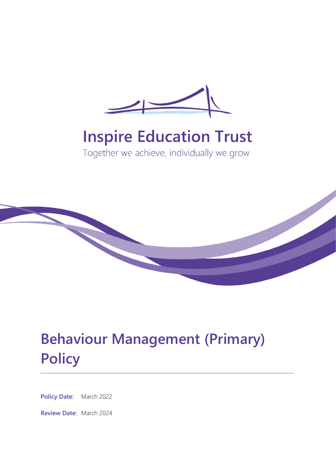

# **Inspire Education Trust**

Together we achieve, individually we grow



# **Behaviour Management (Primary) Policy**

**Policy Date:** March 2022

**Review Date:** March 2024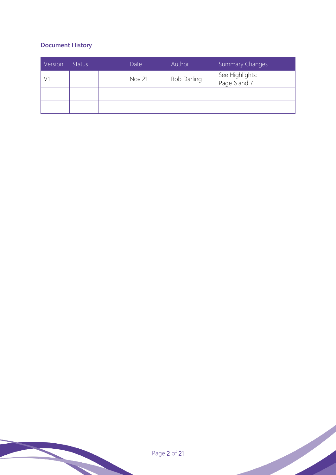# **Document History**

| Version | <b>Status</b> | Date          | Author      | <b>Summary Changes</b>          |
|---------|---------------|---------------|-------------|---------------------------------|
|         |               | <b>Nov 21</b> | Rob Darling | See Highlights:<br>Page 6 and 7 |
|         |               |               |             |                                 |
|         |               |               |             |                                 |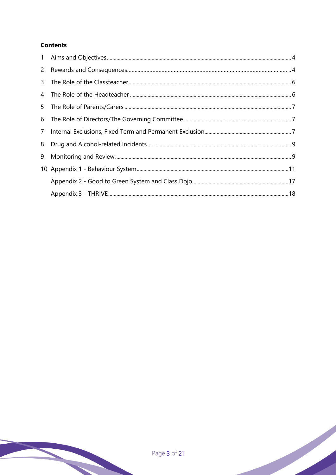# **Contents**

| 5              |  |
|----------------|--|
|                |  |
| $7\phantom{.}$ |  |
|                |  |
| 9              |  |
|                |  |
|                |  |
|                |  |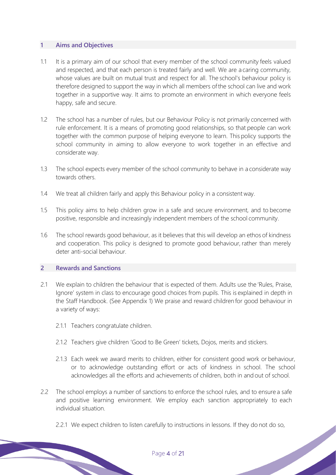#### **1 Aims and Objectives**

- 1.1 It is a primary aim of our school that every member of the school community feels valued and respected, and that each person is treated fairly and well. We are a caring community, whose values are built on mutual trust and respect for all. The school's behaviour policy is therefore designed to support the way in which all members ofthe school can live and work together in a supportive way. It aims to promote an environment in which everyone feels happy, safe and secure.
- 1.2 The school has a number of rules, but our Behaviour Policy is not primarily concerned with rule enforcement. It is a means of promoting good relationships, so that people can work together with the common purpose of helping everyone to learn. This policy supports the school community in aiming to allow everyone to work together in an effective and considerate way.
- 1.3 The school expects every member of the school community to behave in a considerate way towards others.
- 1.4 We treat all children fairly and apply this Behaviour policy in a consistent way.
- 1.5 This policy aims to help children grow in a safe and secure environment, and to become positive, responsible and increasingly independent members of the school community.
- 1.6 The school rewards good behaviour, as it believes that this will develop an ethos of kindness and cooperation. This policy is designed to promote good behaviour, rather than merely deter anti-social behaviour.

#### **2 Rewards and Sanctions**

- 2.1 We explain to children the behaviour that is expected of them. Adults use the 'Rules, Praise, Ignore' system in class to encourage good choices from pupils. This is explained in depth in the Staff Handbook. (See Appendix 1) We praise and reward children for good behaviour in a variety of ways:
	- 2.1.1 Teachers congratulate children.
	- 2.1.2 Teachers give children 'Good to Be Green' tickets, Dojos, merits and stickers.
	- 2.1.3 Each week we award merits to children, either for consistent good work or behaviour, or to acknowledge outstanding effort or acts of kindness in school. The school acknowledges all the efforts and achievements of children, both in and out of school.
- 2.2 The school employs a number of sanctions to enforce the school rules, and to ensure a safe and positive learning environment. We employ each sanction appropriately to each individual situation.
	- 2.2.1 We expect children to listen carefully to instructions in lessons. If they do not do so,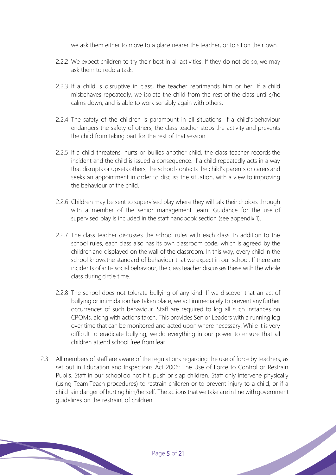we ask them either to move to a place nearer the teacher, or to sit on their own.

- 2.2.2 We expect children to try their best in all activities. If they do not do so, we may ask them to redo a task.
- 2.2.3 If a child is disruptive in class, the teacher reprimands him or her. If a child misbehaves repeatedly, we isolate the child from the rest of the class until s/he calms down, and is able to work sensibly again with others.
- 2.2.4 The safety of the children is paramount in all situations. If a child's behaviour endangers the safety of others, the class teacher stops the activity and prevents the child from taking part for the rest of that session.
- 2.2.5 If a child threatens, hurts or bullies another child, the class teacher records the incident and the child is issued a consequence. If a child repeatedly acts in a way that disrupts or upsets others, the school contacts the child's parents or carers and seeks an appointment in order to discuss the situation, with a view to improving the behaviour of the child.
- 2.2.6 Children may be sent to supervised play where they will talk their choices through with a member of the senior management team. Guidance for the use of supervised play is included in the staff handbook section (see appendix 1).
- 2.2.7 The class teacher discusses the school rules with each class. In addition to the school rules, each class also has its own classroom code, which is agreed by the children and displayed on the wall of the classroom. In this way, every child in the school knowsthe standard of behaviour that we expect in our school. If there are incidents of anti- social behaviour, the class teacher discusses these with the whole class during circle time.
- 2.2.8 The school does not tolerate bullying of any kind. If we discover that an act of bullying or intimidation has taken place, we act immediately to prevent any further occurrences of such behaviour. Staff are required to log all such instances on CPOMs, along with actions taken. This provides Senior Leaders with a running log over time that can be monitored and acted upon where necessary. While it is very difficult to eradicate bullying, we do everything in our power to ensure that all children attend school free from fear.
- 2.3 All members of staff are aware of the regulations regarding the use of force by teachers, as set out in Education and Inspections Act 2006: The Use of Force to Control or Restrain Pupils. Staff in our school do not hit, push or slap children. Staff only intervene physically (using Team Teach procedures) to restrain children or to prevent injury to a child, or if a child isin danger of hurting him/herself. The actions that we take are in line withgovernment guidelines on the restraint of children.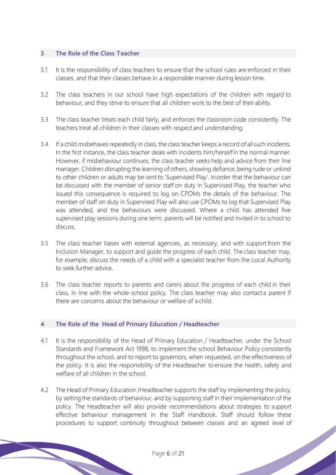#### **3 The Role of the Class Teacher**

- 3.1 It is the responsibility of class teachers to ensure that the school rules are enforced in their classes, and that their classes behave in a responsible manner during lesson time.
- 3.2 The class teachers in our school have high expectations of the children with regard to behaviour, and they strive to ensure that all children work to the best of their ability.
- 3.3 The class teacher treats each child fairly, and enforces the classroom code consistently. The teachers treat all children in their classes with respect and understanding.
- 3.4 If a child misbehaves repeatedly in class, the class teacher keeps a record of allsuch incidents. In the first instance, the class teacher deals with incidents him/herselfin the normal manner. However, if misbehaviour continues, the class teacher seeks help and advice from their line manager. Children disrupting the learning of others, showing defiance, being rude or unkind to other children or adults may be sent to 'Supervised Play'. Inorder that the behaviour can be discussed with the member of senior staff on duty in Supervised Play, the teacher who issued this consequence is required to log on CPOMs the details of the behaviour. The member of staff on duty in Supervised Play will also use CPOMs to log that Supervised Play was attended, and the behaviours were discussed. Where a child has attended five supervised play sessions during one term, parents will be notified and invited in to school to discuss.
- 3.5 The class teacher liaises with external agencies, as necessary, and with support from the Inclusion Manager, to support and guide the progress of each child. The class teacher may, for example, discuss the needs of a child with a specialist teacher from the Local Authority to seek further advice.
- 3.6 The class teacher reports to parents and carers about the progress of each child in their class, in line with the whole-school policy. The class teacher may also contact a parent if there are concerns about the behaviour or welfare of a child.

## **4 The Role of the Head of Primary Education / Headteacher**

- 4.1 It is the responsibility of the Head of Primary Education / Headteacher, under the School Standards and Framework Act 1998, to implement the school Behaviour Policy consistently throughout the school, and to report to governors, when requested, on the effectiveness of the policy. It is also the responsibility of the Headteacher to ensure the health, safety and welfare of all children in the school.
- 4.2 The Head of Primary Education / Headteacher supports the staff by implementing the policy, by setting the standards of behaviour, and by supporting staff in their implementation of the policy. The Headteacher will also provide recommendations about strategies to support effective behaviour management in the Staff Handbook. Staff should follow these procedures to support continuity throughout between classes and an agreed level of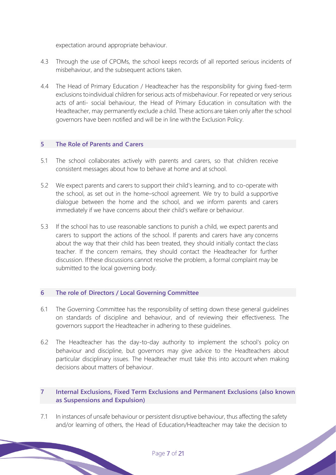expectation around appropriate behaviour.

- 4.3 Through the use of CPOMs, the school keeps records of all reported serious incidents of misbehaviour, and the subsequent actions taken.
- 4.4 The Head of Primary Education / Headteacher has the responsibility for giving fixed-term exclusions toindividual children for serious acts of misbehaviour. For repeated or very serious acts of anti- social behaviour, the Head of Primary Education in consultation with the Headteacher, may permanently exclude a child. These actions are taken only after the school governors have been notified and will be in line with the Exclusion Policy.

#### **5 The Role of Parents and Carers**

- 5.1 The school collaborates actively with parents and carers, so that children receive consistent messages about how to behave at home and at school.
- 5.2 We expect parents and carers to support their child's learning, and to co-operate with the school, as set out in the home–school agreement. We try to build a supportive dialogue between the home and the school, and we inform parents and carers immediately if we have concerns about their child's welfare or behaviour.
- 5.3 If the school has to use reasonable sanctions to punish a child, we expect parents and carers to support the actions of the school. If parents and carers have any concerns about the way that their child has been treated, they should initially contact the class teacher. If the concern remains, they should contact the Headteacher for further discussion. Ifthese discussions cannot resolve the problem, a formal complaint may be submitted to the local governing body.

#### **6 The role of Directors / Local Governing Committee**

- 6.1 The Governing Committee has the responsibility of setting down these general guidelines on standards of discipline and behaviour, and of reviewing their effectiveness. The governors support the Headteacher in adhering to these guidelines.
- 6.2 The Headteacher has the day-to-day authority to implement the school's policy on behaviour and discipline, but governors may give advice to the Headteachers about particular disciplinary issues. The Headteacher must take this into account when making decisions about matters of behaviour.

## **7 Internal Exclusions, Fixed Term Exclusions and Permanent Exclusions (also known as Suspensions and Expulsion)**

7.1 In instances of unsafe behaviour or persistent disruptive behaviour, thus affecting the safety and/or learning of others, the Head of Education/Headteacher may take the decision to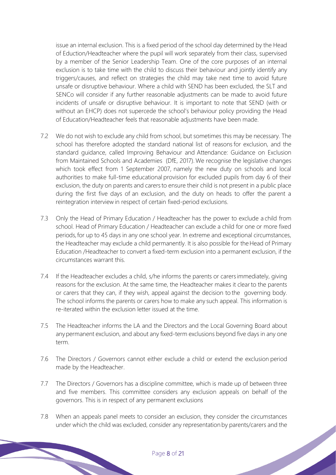issue an internal exclusion. This is a fixed period of the school day determined by the Head of Eduction/Headteacher where the pupil will work separately from their class, supervised by a member of the Senior Leadership Team. One of the core purposes of an internal exclusion is to take time with the child to discuss their behaviour and jointly identify any triggers/causes, and reflect on strategies the child may take next time to avoid future unsafe or disruptive behaviour. Where a child with SEND has been excluded, the SLT and SENCo will consider if any further reasonable adjustments can be made to avoid future incidents of unsafe or disruptive behaviour. It is important to note that SEND (with or without an EHCP) does not supercede the school's behaviour policy providing the Head of Education/Headteacher feels that reasonable adjustments have been made.

- 7.2 We do not wish to exclude any child from school, but sometimes this may be necessary. The school has therefore adopted the standard national list of reasons for exclusion, and the standard guidance, called Improving Behaviour and Attendance: Guidance on Exclusion from Maintained Schools and Academies (DfE, 2017). We recognise the legislative changes which took effect from 1 September 2007, namely the new duty on schools and local authorities to make full-time educational provision for excluded pupils from day 6 of their exclusion, the duty on parents and carersto ensure their child is not present in a public place during the first five days of an exclusion, and the duty on heads to offer the parent a reintegration interview in respect of certain fixed-period exclusions.
- 7.3 Only the Head of Primary Education / Headteacher has the power to exclude a child from school. Head of Primary Education / Headteacher can exclude a child for one or more fixed periods,for up to 45 days in any one school year. In extreme and exceptional circumstances, the Headteacher may exclude a child permanently. It is also possible for the Head of Primary Education /Headteacher to convert a fixed-term exclusion into a permanent exclusion, if the circumstances warrant this.
- 7.4 If the Headteacher excludes a child, s/he informs the parents or carers immediately, giving reasons for the exclusion. At the same time, the Headteacher makes it clear to the parents or carers that they can, if they wish, appeal against the decision to the governing body. The school informs the parents or carers how to make any such appeal. This information is re-iterated within the exclusion letter issued at the time.
- 7.5 The Headteacher informs the LA and the Directors and the Local Governing Board about anypermanent exclusion, and about any fixed-term exclusions beyond five days in any one term.
- 7.6 The Directors / Governors cannot either exclude a child or extend the exclusion period made by the Headteacher.
- 7.7 The Directors / Governors has a discipline committee, which is made up of between three and five members. This committee considers any exclusion appeals on behalf of the governors. This is in respect of any permanent exclusions
- 7.8 When an appeals panel meets to consider an exclusion, they consider the circumstances under which the child was excluded, consider any representation by parents/carers and the<br>
Page 8 of 21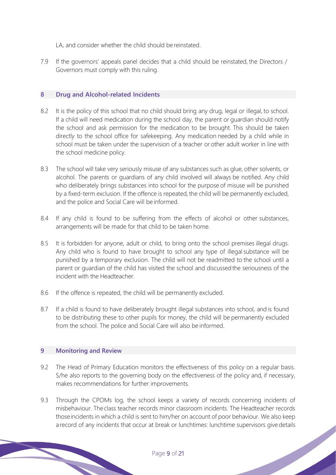LA, and consider whether the child should be reinstated.

7.9 If the governors' appeals panel decides that a child should be reinstated, the Directors / Governors must comply with this ruling.

#### **8 Drug and Alcohol-related Incidents**

- 8.2 It is the policy of this school that no child should bring any drug, legal or illegal, to school. If a child will need medication during the school day, the parent or guardian should notify the school and ask permission for the medication to be brought. This should be taken directly to the school office for safekeeping. Any medication needed by a child while in school must be taken under the supervision of a teacher or other adult worker in line with the school medicine policy.
- 8.3 The school will take very seriously misuse of any substances such as glue, other solvents, or alcohol. The parents or guardians of any child involved will always be notified. Any child who deliberately brings substances into school for the purpose of misuse will be punished by a fixed-term exclusion. If the offence is repeated, the child will be permanently excluded, and the police and Social Care will be informed.
- 8.4 If any child is found to be suffering from the effects of alcohol or other substances, arrangements will be made for that child to be taken home.
- 8.5 It is forbidden for anyone, adult or child, to bring onto the school premises illegal drugs. Any child who is found to have brought to school any type of illegal substance will be punished by a temporary exclusion. The child will not be readmitted to the school until a parent or guardian of the child has visited the school and discussed the seriousness of the incident with the Headteacher.
- 8.6 If the offence is repeated, the child will be permanently excluded.
- 8.7 If a child is found to have deliberately brought illegal substances into school, and is found to be distributing these to other pupils for money, the child will be permanently excluded from the school. The police and Social Care will also be informed.

#### **9 Monitoring and Review**

- 9.2 The Head of Primary Education monitors the effectiveness of this policy on a regular basis. S/he also reports to the governing body on the effectiveness of the policy and, if necessary, makes recommendations for further improvements.
- 9.3 Through the CPOMs log, the school keeps a variety of records concerning incidents of misbehaviour. The class teacher records minor classroom incidents. The Headteacher records thoseincidents in which a child is sent to him/her on account of poor behaviour. We also keep a record of any incidents that occur at break or lunchtimes: lunchtime supervisors give details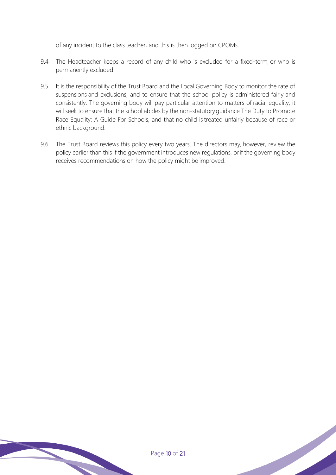of any incident to the class teacher, and this is then logged on CPOMs.

- 9.4 The Headteacher keeps a record of any child who is excluded for a fixed-term, or who is permanently excluded.
- 9.5 It is the responsibility of the Trust Board and the Local Governing Body to monitor the rate of suspensions and exclusions, and to ensure that the school policy is administered fairly and consistently. The governing body will pay particular attention to matters of racial equality; it will seek to ensure that the school abides by the non-statutoryguidance The Duty to Promote Race Equality: A Guide For Schools, and that no child is treated unfairly because of race or ethnic background.
- 9.6 The Trust Board reviews this policy every two years. The directors may, however, review the policy earlier than this if the government introduces new regulations, orif the governing body receives recommendations on how the policy might be improved.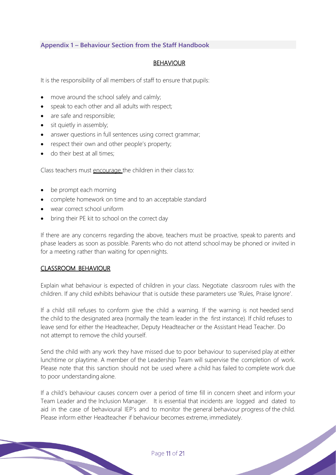## **Appendix 1 – Behaviour Section from the Staff Handbook**

#### BEHAVIOUR

It is the responsibility of all members of staff to ensure that pupils:

- move around the school safely and calmly;
- speak to each other and all adults with respect;
- are safe and responsible;
- sit quietly in assembly;
- answer questions in full sentences using correct grammar;
- respect their own and other people's property;
- do their best at all times;

Class teachers must encourage the children in their classto:

- be prompt each morning
- complete homework on time and to an acceptable standard
- wear correct school uniform
- bring their PE kit to school on the correct day

If there are any concerns regarding the above, teachers must be proactive, speak to parents and phase leaders as soon as possible. Parents who do not attend school may be phoned or invited in for a meeting rather than waiting for open nights.

#### CLASSROOM BEHAVIOUR

Explain what behaviour is expected of children in your class. Negotiate classroom rules with the children. If any child exhibits behaviour that is outside these parameters use 'Rules, Praise Ignore'.

If a child still refuses to conform give the child a warning. If the warning is not heeded send the child to the designated area (normally the team leader in the first instance). If child refuses to leave send for either the Headteacher, Deputy Headteacher or the Assistant Head Teacher. Do not attempt to remove the child yourself.

Send the child with any work they have missed due to poor behaviour to supervised play at either lunchtime or playtime. A member of the Leadership Team will supervise the completion of work. Please note that this sanction should not be used where a child has failed to complete work due to poor understanding alone.

If a child's behaviour causes concern over a period of time fill in concern sheet and inform your Team Leader and the Inclusion Manager. It is essential that incidents are logged and dated to aid in the case of behavioural IEP's and to monitor the general behaviour progress of the child. Please inform either Headteacher if behaviour becomes extreme, immediately.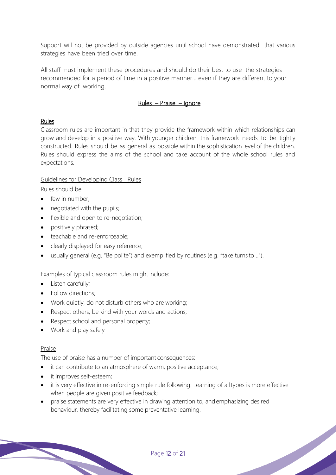Support will not be provided by outside agencies until school have demonstrated that various strategies have been tried over time.

All staff must implement these procedures and should do their best to use the strategies recommended for a period of time in a positive manner... even if they are different to your normal way of working.

## Rules – Praise – Ignore

## Rules

Classroom rules are important in that they provide the framework within which relationships can grow and develop in a positive way. With younger children this framework needs to be tightly constructed. Rules should be as general as possible within the sophistication level of the children. Rules should express the aims of the school and take account of the whole school rules and expectations.

## Guidelines for Developing Class Rules

Rules should be:

- few in number;
- negotiated with the pupils;
- flexible and open to re-negotiation;
- positively phrased;
- teachable and re-enforceable;
- clearly displayed for easy reference;
- usually general (e.g. "Be polite") and exemplified by routines (e.g. "take turns to ..").

Examples of typical classroom rules might include:

- Listen carefully;
- Follow directions:
- Work quietly, do not disturb others who are working;
- Respect others, be kind with your words and actions;
- Respect school and personal property;
- Work and play safely

# Praise

The use of praise has a number of important consequences:

- it can contribute to an atmosphere of warm, positive acceptance;
- it improves self-esteem;
- it is very effective in re-enforcing simple rule following. Learning of all types is more effective when people are given positive feedback;
- praise statements are very effective in drawing attention to, andemphasizing desired behaviour, thereby facilitating some preventative learning.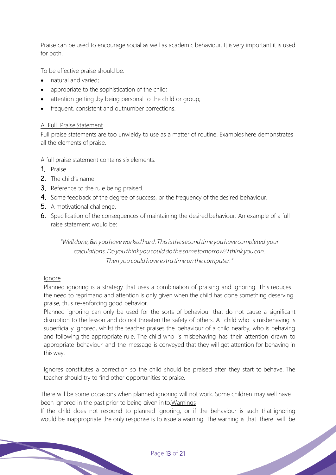Praise can be used to encourage social as well as academic behaviour. It is very important it is used for both.

To be effective praise should be:

- natural and varied;
- appropriate to the sophistication of the child;
- attention getting, by being personal to the child or group;
- frequent, consistent and outnumber corrections.

#### A Full Praise Statement

Full praise statements are too unwieldy to use as a matter of routine. Examples here demonstrates all the elements of praise.

A full praise statement contains six elements.

- 1. Praise
- 2. The child's name
- **3.** Reference to the rule being praised.
- 4. Some feedback of the degree of success, or the frequency of the desired behaviour.
- 5. A motivational challenge.
- 6. Specification of the consequences of maintaining the desired behaviour. An example of a full raise statement would be:

*"Welldone,Ben youhaveworkedhard.Thisisthesecondtimeyouhavecompleted your calculations.Doyouthink youcoulddothesametomorrow?Ithink youcan. Thenyou could have extra time on the computer."*

## Ignore

Planned ignoring is a strategy that uses a combination of praising and ignoring. This reduces the need to reprimand and attention is only given when the child has done something deserving praise, thus re-enforcing good behavior.

Planned ignoring can only be used for the sorts of behaviour that do not cause a significant disruption to the lesson and do not threaten the safety of others. A child who is misbehaving is superficially ignored, whilst the teacher praises the behaviour of a child nearby, who is behaving and following the appropriate rule. The child who is misbehaving has their attention drawn to appropriate behaviour and the message is conveyed that they will get attention for behaving in thisway.

Ignores constitutes a correction so the child should be praised after they start to behave. The teacher should try to find other opportunities to praise.

There will be some occasions when planned ignoring will not work. Some children may well have been ignored in the past prior to being given in to.Warnings

If the child does not respond to planned ignoring, or if the behaviour is such that ignoring would be inappropriate the only response is to issue a warning. The warning is that there will be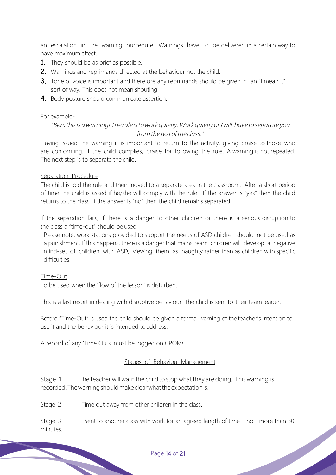an escalation in the warning procedure. Warnings have to be delivered in a certain way to have maximum effect.

- 1. They should be as brief as possible.
- 2. Warnings and reprimands directed at the behaviour not the child.
- 3. Tone of voice is important and therefore any reprimands should be given in an "I mean it" sort of way. This does not mean shouting.
- 4. Body posture should communicate assertion.

#### For example-

## "*Ben,thisisawarning!Theruleistoworkquietly.WorkquietlyorIwill have toseparate you fromtherestoftheclass."*

Having issued the warning it is important to return to the activity, giving praise to those who are conforming. If the child complies, praise for following the rule. A warning is not repeated. The next step is to separate the child.

#### Separation Procedure

The child is told the rule and then moved to a separate area in the classroom. After a short period of time the child is asked if he/she will comply with the rule. If the answer is "yes" then the child returns to the class. If the answer is "no" then the child remains separated.

If the separation fails, if there is a danger to other children or there is a serious disruption to the class a "time-out" should be used.

Please note, work stations provided to support the needs of ASD children should not be used as a punishment. If this happens, there is a danger that mainstream children will develop a negative mind-set of children with ASD, viewing them as naughty rather than as children with specific difficulties.

#### Time-Out

To be used when the 'flow of the lesson' is disturbed.

This is a last resort in dealing with disruptive behaviour. The child is sent to their team leader.

Before "Time-Out" is used the child should be given a formal warning of the teacher's intention to use it and the behaviour it is intended to address.

A record of any 'Time Outs' must be logged on CPOMs.

#### Stages of Behaviour Management

Stage 1 The teacher will warn the child to stop what they are doing. This warning is recorded.Thewarningshouldmakeclearwhattheexpectationis.

Stage 2 Time out away from other children in the class.

Stage 3 Sent to another class with work for an agreed length of time – no more than 30 minutes.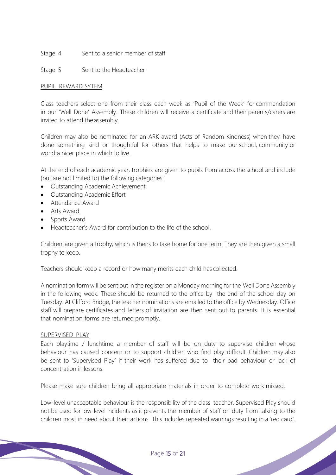- Stage 4 Sent to a senior member of staff
- Stage 5 Sent to the Headteacher

#### PUPIL REWARD SYTEM

Class teachers select one from their class each week as 'Pupil of the Week' for commendation in our 'Well Done' Assembly. These children will receive a certificate and their parents/carers are invited to attend the assembly.

Children may also be nominated for an ARK award (Acts of Random Kindness) when they have done something kind or thoughtful for others that helps to make our school, community or world a nicer place in which to live.

At the end of each academic year, trophies are given to pupils from across the school and include (but are not limited to) the following categories:

- Outstanding Academic Achievement
- Outstanding Academic Effort
- Attendance Award
- Arts Award
- Sports Award
- Headteacher's Award for contribution to the life of the school.

Children are given a trophy, which is theirs to take home for one term. They are then given a small trophy to keep.

Teachers should keep a record or how many merits each child has collected.

A nomination form will be sent out in the register on a Monday morning for the Well Done Assembly in the following week. These should be returned to the office by the end of the school day on Tuesday. At Clifford Bridge, the teacher nominations are emailed to the office by Wednesday. Office staff will prepare certificates and letters of invitation are then sent out to parents. It is essential that nomination forms are returned promptly.

#### SUPERVISED PLAY

Each playtime / lunchtime a member of staff will be on duty to supervise children whose behaviour has caused concern or to support children who find play difficult. Children may also be sent to 'Supervised Play' if their work has suffered due to their bad behaviour or lack of concentration in lessons.

Please make sure children bring all appropriate materials in order to complete work missed.

Low-level unacceptable behaviour is the responsibility of the class teacher. Supervised Play should not be used for low-level incidents as it prevents the member of staff on duty from talking to the children most in need about their actions. This includes repeated warnings resulting in a 'red card'.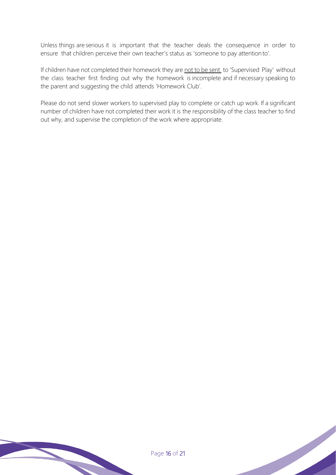Unless things are serious it is important that the teacher deals the consequence in order to ensure that children perceive their own teacher's status as 'someone to pay attentionto'.

If children have not completed their homework they are not to be sent to 'Supervised Play' without the class teacher first finding out why the homework is incomplete and if necessary speaking to the parent and suggesting the child attends 'Homework Club'.

Please do not send slower workers to supervised play to complete or catch up work. If a significant number of children have not completed their work it is the responsibility of the class teacher to find out why, and supervise the completion of the work where appropriate.

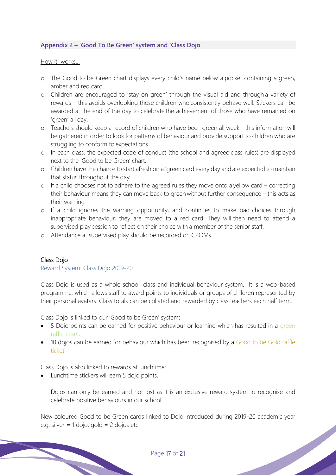## **Appendix 2 – 'Good To Be Green' system and 'Class Dojo'**

#### How it works…

- o The Good to be Green chart displays every child's name below a pocket containing a green, amber and red card.
- o Children are encouraged to 'stay on green' through the visual aid and through a variety of rewards – this avoids overlooking those children who consistently behave well. Stickers can be awarded at the end of the day to celebrate the achievement of those who have remained on 'green' all day.
- o Teachers should keep a record of children who have been green all week this information will be gathered in order to look for patterns of behaviour and provide support to children who are struggling to conform to expectations.
- o In each class, the expected code of conduct (the school and agreed class rules) are displayed next to the 'Good to be Green' chart.
- o Children have the chance to start afresh on a 'green card every day andare expected to maintain that status throughout the day
- o If a child chooses not to adhere to the agreed rules they move onto a yellow card correcting their behaviour means they can move back to greenwithout further consequence – this acts as their warning
- o If a child ignores the warning opportunity, and continues to make bad choices through inappropriate behaviour, they are moved to a red card. They will then need to attend a supervised play session to reflect on their choice with a member of the senior staff.
- o Attendance at supervised play should be recorded on CPOMs.

#### Class Dojo

Reward System: Class Dojo 2019-20

Class Dojo is used as a whole school, class and individual behaviour system. It is a web-based programme, which allows staff to award points to individuals or groups of children represented by their personal avatars. Class totals can be collated and rewarded by class teachers each half term.

Class Dojo is linked to our 'Good to be Green' system:

- 5 Dojo points can be earned for positive behaviour or learning which has resulted in a green raffle ticket.
- 10 dojos can be earned for behaviour which has been recognised by a Good to be Gold raffle ticket

Class Dojo is also linked to rewards at lunchtime:

• Lunchtime stickers will earn 5 dojo points.

Dojos can only be earned and not lost as it is an exclusive reward system to recognise and celebrate positive behaviours in our school.

New coloured Good to be Green cards linked to Dojo introduced during 2019-20 academic year e.g. silver  $= 1$  dojo, gold  $= 2$  dojos etc.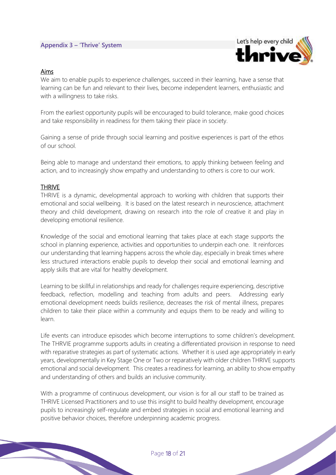#### **Appendix 3 – 'Thrive' System**



#### Aims

We aim to enable pupils to experience challenges, succeed in their learning, have a sense that learning can be fun and relevant to their lives, become independent learners, enthusiastic and with a willingness to take risks.

From the earliest opportunity pupils will be encouraged to build tolerance, make good choices and take responsibility in readiness for them taking their place in society.

Gaining a sense of pride through social learning and positive experiences is part of the ethos of our school.

Being able to manage and understand their emotions, to apply thinking between feeling and action, and to increasingly show empathy and understanding to others is core to our work.

#### **THRIVE**

THRIVE is a dynamic, developmental approach to working with children that supports their emotional and social wellbeing. It is based on the latest research in neuroscience, attachment theory and child development, drawing on research into the role of creative it and play in developing emotional resilience.

Knowledge of the social and emotional learning that takes place at each stage supports the school in planning experience, activities and opportunities to underpin each one. It reinforces our understanding that learning happens across the whole day, especially in break times where less structured interactions enable pupils to develop their social and emotional learning and apply skills that are vital for healthy development.

Learning to be skillful in relationships and ready for challenges require experiencing, descriptive feedback, reflection, modelling and teaching from adults and peers. Addressing early emotional development needs builds resilience, decreases the risk of mental illness, prepares children to take their place within a community and equips them to be ready and willing to learn.

Life events can introduce episodes which become interruptions to some children's development. The THRVIE programme supports adults in creating a differentiated provision in response to need with reparative strategies as part of systematic actions. Whether it is used age appropriately in early years, developmentally in Key Stage One or Two or reparatively with older children THRIVE supports emotional and social development. This creates a readiness for learning, an ability to show empathy and understanding of others and builds an inclusive community.

With a programme of continuous development, our vision is for all our staff to be trained as THRIVE Licensed Practitioners and to use this insight to build healthy development, encourage pupils to increasingly self-regulate and embed strategies in social and emotional learning and positive behavior choices, therefore underpinning academic progress.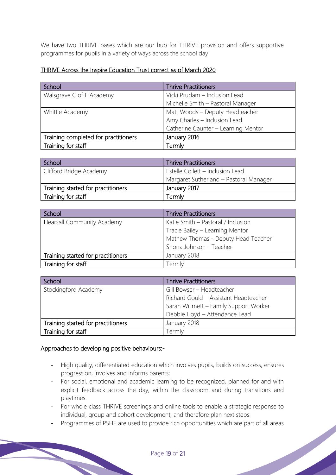We have two THRIVE bases which are our hub for THRIVE provision and offers supportive programmes for pupils in a variety of ways across the school day

## THRIVE Across the Inspire Education Trust correct as of March 2020

| School                               | <b>Thrive Practitioners</b>         |
|--------------------------------------|-------------------------------------|
| Walsgrave C of E Academy             | Vicki Prudam - Inclusion Lead       |
|                                      | Michelle Smith - Pastoral Manager   |
| Whittle Academy                      | Matt Woods - Deputy Headteacher     |
|                                      | Amy Charles - Inclusion Lead        |
|                                      | Catherine Caunter - Learning Mentor |
| Training completed for practitioners | January 2016                        |
| Training for staff                   | Termly                              |

| School                             | <b>Thrive Practitioners</b>            |  |
|------------------------------------|----------------------------------------|--|
| Clifford Bridge Academy            | Estelle Collett - Inclusion Lead       |  |
|                                    | Margaret Sutherland - Pastoral Manager |  |
| Training started for practitioners | January 2017                           |  |
| Training for staff                 | Termlv                                 |  |

| School                             | <b>Thrive Practitioners</b>         |  |
|------------------------------------|-------------------------------------|--|
| <b>Hearsall Community Academy</b>  | Katie Smith - Pastoral / Inclusion  |  |
|                                    | Tracie Bailey - Learning Mentor     |  |
|                                    | Mathew Thomas - Deputy Head Teacher |  |
|                                    | Shona Johnson - Teacher             |  |
| Training started for practitioners | January 2018                        |  |
| Training for staff                 | Termly                              |  |

| School                             | <b>Thrive Practitioners</b>            |  |
|------------------------------------|----------------------------------------|--|
| Stockingford Academy               | Gill Bowser - Headteacher              |  |
|                                    | Richard Gould - Assistant Headteacher  |  |
|                                    | Sarah Willmett - Family Support Worker |  |
|                                    | Debbie Lloyd - Attendance Lead         |  |
| Training started for practitioners | January 2018                           |  |
| Training for staff                 | Termly                                 |  |

## Approaches to developing positive behaviours:-

- High quality, differentiated education which involves pupils, builds on success, ensures progression, involves and informs parents;
- For social, emotional and academic learning to be recognized, planned for and with explicit feedback across the day, within the classroom and during transitions and playtimes.
- For whole class THRIVE screenings and online tools to enable a strategic response to individual, group and cohort development, and therefore plan next steps.
- Programmes of PSHE are used to provide rich opportunities which are part of all areas<br>
Page 19 of 21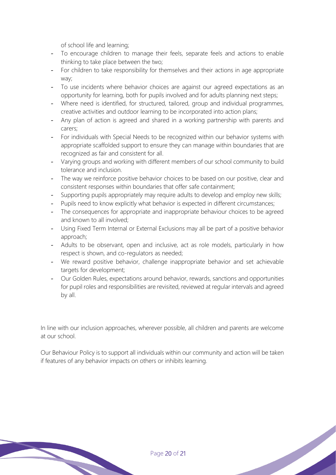of school life and learning;

- To encourage children to manage their feels, separate feels and actions to enable thinking to take place between the two;
- For children to take responsibility for themselves and their actions in age appropriate way;
- To use incidents where behavior choices are against our agreed expectations as an opportunity for learning, both for pupils involved and for adults planning next steps;
- Where need is identified, for structured, tailored, group and individual programmes, creative activities and outdoor learning to be incorporated into action plans;
- Any plan of action is agreed and shared in a working partnership with parents and carers;
- For individuals with Special Needs to be recognized within our behavior systems with appropriate scaffolded support to ensure they can manage within boundaries that are recognized as fair and consistent for all.
- Varying groups and working with different members of our school community to build tolerance and inclusion.
- The way we reinforce positive behavior choices to be based on our positive, clear and consistent responses within boundaries that offer safe containment;
- Supporting pupils appropriately may require adults to develop and employ new skills;
- Pupils need to know explicitly what behavior is expected in different circumstances;
- The consequences for appropriate and inappropriate behaviour choices to be agreed and known to all involved;
- Using Fixed Term Internal or External Exclusions may all be part of a positive behavior approach;
- Adults to be observant, open and inclusive, act as role models, particularly in how respect is shown, and co-regulators as needed;
- We reward positive behavior, challenge inappropriate behavior and set achievable targets for development;
- Our Golden Rules, expectations around behavior, rewards, sanctions and opportunities for pupil roles and responsibilities are revisited, reviewed at regular intervals and agreed by all.

In line with our inclusion approaches, wherever possible, all children and parents are welcome at our school.

Our Behaviour Policy is to support all individuals within our community and action will be taken if features of any behavior impacts on others or inhibits learning.